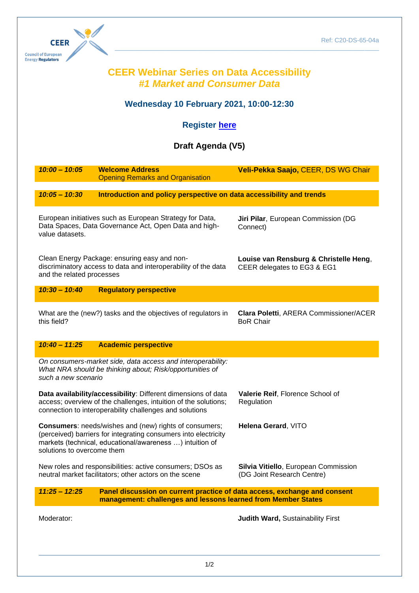

## **CEER Webinar Series on Data Accessibility** *#1 Market and Consumer Data*

 $\_$  . The contribution of the contribution of the contribution of the contribution of the contribution of the contribution of  $\mathcal{L}_\text{max}$ 

## **Wednesday 10 February 2021, 10:00-12:30**

## **Register [here](https://register.gotowebinar.com/register/1014518691603386383)**

## **Draft Agenda (V5)**

| $10:00 - 10:05$                                                                                                                                                                                                                                   | <b>Welcome Address</b><br><b>Opening Remarks and Organisation</b>    | Veli-Pekka Saajo, CEER, DS WG Chair                                |
|---------------------------------------------------------------------------------------------------------------------------------------------------------------------------------------------------------------------------------------------------|----------------------------------------------------------------------|--------------------------------------------------------------------|
| $10:05 - 10:30$                                                                                                                                                                                                                                   | Introduction and policy perspective on data accessibility and trends |                                                                    |
| European initiatives such as European Strategy for Data,<br>Data Spaces, Data Governance Act, Open Data and high-<br>value datasets.                                                                                                              |                                                                      | Jiri Pilar, European Commission (DG<br>Connect)                    |
| Clean Energy Package: ensuring easy and non-<br>Louise van Rensburg & Christelle Heng,<br>discriminatory access to data and interoperability of the data<br>CEER delegates to EG3 & EG1<br>and the related processes                              |                                                                      |                                                                    |
| $10:30 - 10:40$                                                                                                                                                                                                                                   | <b>Regulatory perspective</b>                                        |                                                                    |
| this field?                                                                                                                                                                                                                                       | What are the (new?) tasks and the objectives of regulators in        | Clara Poletti, ARERA Commissioner/ACER<br><b>BoR Chair</b>         |
| $10:40 - 11:25$                                                                                                                                                                                                                                   | <b>Academic perspective</b>                                          |                                                                    |
| On consumers-market side, data access and interoperability:<br>What NRA should be thinking about; Risk/opportunities of<br>such a new scenario                                                                                                    |                                                                      |                                                                    |
| Data availability/accessibility: Different dimensions of data<br>access; overview of the challenges, intuition of the solutions;<br>connection to interoperability challenges and solutions                                                       |                                                                      | Valerie Reif, Florence School of<br>Regulation                     |
| <b>Consumers:</b> needs/wishes and (new) rights of consumers;<br>Helena Gerard, VITO<br>(perceived) barriers for integrating consumers into electricity<br>markets (technical, educational/awareness ) intuition of<br>solutions to overcome them |                                                                      |                                                                    |
| New roles and responsibilities: active consumers; DSOs as<br>neutral market facilitators; other actors on the scene                                                                                                                               |                                                                      | Silvia Vitiello, European Commission<br>(DG Joint Research Centre) |
| $11:25 - 12:25$<br>Panel discussion on current practice of data access, exchange and consent<br>management: challenges and lessons learned from Member States                                                                                     |                                                                      |                                                                    |
| Moderator:                                                                                                                                                                                                                                        |                                                                      | Judith Ward, Sustainability First                                  |